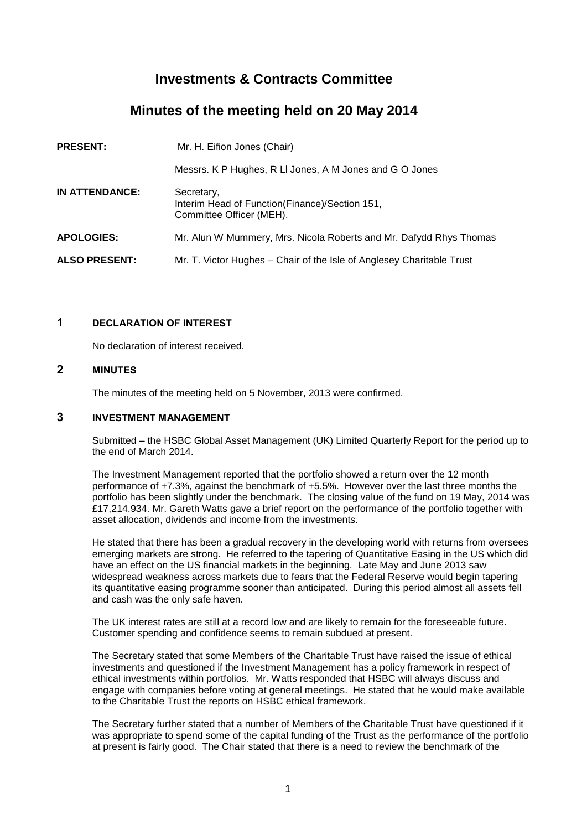# **Investments & Contracts Committee**

# **Minutes of the meeting held on 20 May 2014**

| <b>PRESENT:</b>      | Mr. H. Eifion Jones (Chair)                                                                 |
|----------------------|---------------------------------------------------------------------------------------------|
|                      | Messrs. K P Hughes, R LI Jones, A M Jones and G O Jones                                     |
| IN ATTENDANCE:       | Secretary,<br>Interim Head of Function (Finance) / Section 151,<br>Committee Officer (MEH). |
| <b>APOLOGIES:</b>    | Mr. Alun W Mummery, Mrs. Nicola Roberts and Mr. Dafydd Rhys Thomas                          |
| <b>ALSO PRESENT:</b> | Mr. T. Victor Hughes – Chair of the Isle of Anglesey Charitable Trust                       |
|                      |                                                                                             |

# **1 DECLARATION OF INTEREST**

No declaration of interest received.

# **2 MINUTES**

The minutes of the meeting held on 5 November, 2013 were confirmed.

# **3 INVESTMENT MANAGEMENT**

Submitted – the HSBC Global Asset Management (UK) Limited Quarterly Report for the period up to the end of March 2014.

The Investment Management reported that the portfolio showed a return over the 12 month performance of +7.3%, against the benchmark of +5.5%. However over the last three months the portfolio has been slightly under the benchmark. The closing value of the fund on 19 May, 2014 was £17,214.934. Mr. Gareth Watts gave a brief report on the performance of the portfolio together with asset allocation, dividends and income from the investments.

He stated that there has been a gradual recovery in the developing world with returns from oversees emerging markets are strong. He referred to the tapering of Quantitative Easing in the US which did have an effect on the US financial markets in the beginning. Late May and June 2013 saw widespread weakness across markets due to fears that the Federal Reserve would begin tapering its quantitative easing programme sooner than anticipated. During this period almost all assets fell and cash was the only safe haven.

The UK interest rates are still at a record low and are likely to remain for the foreseeable future. Customer spending and confidence seems to remain subdued at present.

The Secretary stated that some Members of the Charitable Trust have raised the issue of ethical investments and questioned if the Investment Management has a policy framework in respect of ethical investments within portfolios. Mr. Watts responded that HSBC will always discuss and engage with companies before voting at general meetings. He stated that he would make available to the Charitable Trust the reports on HSBC ethical framework.

The Secretary further stated that a number of Members of the Charitable Trust have questioned if it was appropriate to spend some of the capital funding of the Trust as the performance of the portfolio at present is fairly good. The Chair stated that there is a need to review the benchmark of the